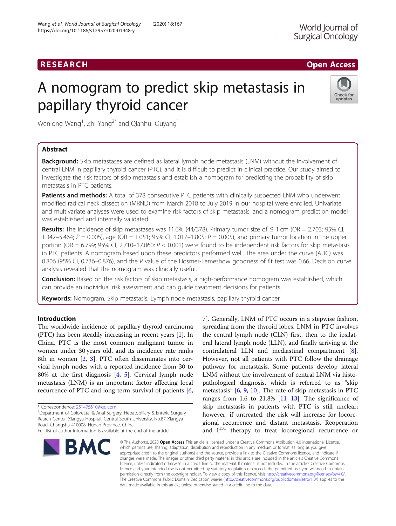# RESEARCH **RESEARCH CHOOSE ACCESS**

# A nomogram to predict skip metastasis in papillary thyroid cancer



Wenlong Wang<sup>1</sup>, Zhi Yang<sup>2\*</sup> and Qianhui Ouyang<sup>1</sup>

# Abstract

Background: Skip metastases are defined as lateral lymph node metastasis (LNM) without the involvement of central LNM in papillary thyroid cancer (PTC), and it is difficult to predict in clinical practice. Our study aimed to investigate the risk factors of skip metastasis and establish a nomogram for predicting the probability of skip metastasis in PTC patients.

Patients and methods: A total of 378 consecutive PTC patients with clinically suspected LNM who underwent modified radical neck dissection (MRND) from March 2018 to July 2019 in our hospital were enrolled. Univariate and multivariate analyses were used to examine risk factors of skip metastasis, and a nomogram prediction model was established and internally validated.

Results: The incidence of skip metastases was 11.6% (44/378). Primary tumor size of  $\leq$  1 cm (OR = 2.703; 95% CI, 1.342–5.464;  $P = 0.005$ ), age (OR = 1.051; 95% CI, 1.017–1.805;  $P = 0.005$ ), and primary tumor location in the upper portion (OR = 6.799; 95% CI, 2.710–17.060;  $P < 0.001$ ) were found to be independent risk factors for skip metastasis in PTC patients. A nomogram based upon these predictors performed well. The area under the curve (AUC) was 0.806 (95% CI, 0.736–0.876), and the P value of the Hosmer-Lemeshow goodness of fit test was 0.66. Decision curve analysis revealed that the nomogram was clinically useful.

Conclusion: Based on the risk factors of skip metastasis, a high-performance nomogram was established, which can provide an individual risk assessment and can guide treatment decisions for patients.

Keywords: Nomogram, Skip metastasis, Lymph node metastasis, papillary thyroid cancer

# Introduction

The worldwide incidence of papillary thyroid carcinoma (PTC) has been steadily increasing in recent years [\[1](#page-8-0)]. In China, PTC is the most common malignant tumor in women under 30 years old, and its incidence rate ranks 8th in women [[2,](#page-8-0) [3](#page-8-0)]. PTC often disseminates into cervical lymph nodes with a reported incidence from 30 to 80% at the first diagnosis [[4,](#page-8-0) [5\]](#page-8-0). Cervical lymph node metastasis (LNM) is an important factor affecting local recurrence of PTC and long-term survival of patients [\[6](#page-8-0),

<sup>2</sup>Department of Colorectal & Anal Surgery, Hepatobiliary & Enteric Surgery Rearch Center, Xiangya Hospital, Central South University, No.87 Xiangya Road, Changsha 410008, Hunan Province, China Full list of author information is available at the end of the article



[7\]](#page-8-0). Generally, LNM of PTC occurs in a stepwise fashion, spreading from the thyroid lobes. LNM in PTC involves the central lymph node (CLN) first, then to the ipsilateral lateral lymph node (LLN), and finally arriving at the contralateral LLN and mediastinal compartment [\[8](#page-8-0)]. However, not all patients with PTC follow the drainage pathway for metastasis. Some patients develop lateral LNM without the involvement of central LNM via histopathological diagnosis, which is referred to as "skip metastasis" [\[6](#page-8-0), [9](#page-8-0), [10](#page-8-0)]. The rate of skip metastasis in PTC ranges from 1.6 to 21.8%  $[11-13]$  $[11-13]$  $[11-13]$  $[11-13]$  $[11-13]$ . The significance of skip metastasis in patients with PTC is still unclear; however, if untreated, the risk will increase for locoregional recurrence and distant metastasis. Reoperation and  $I^{131}$  therapy to treat locoregional recurrence or

© The Author(s). 2020 Open Access This article is licensed under a Creative Commons Attribution 4.0 International License, which permits use, sharing, adaptation, distribution and reproduction in any medium or format, as long as you give appropriate credit to the original author(s) and the source, provide a link to the Creative Commons licence, and indicate if changes were made. The images or other third party material in this article are included in the article's Creative Commons licence, unless indicated otherwise in a credit line to the material. If material is not included in the article's Creative Commons licence and your intended use is not permitted by statutory regulation or exceeds the permitted use, you will need to obtain permission directly from the copyright holder. To view a copy of this licence, visit [http://creativecommons.org/licenses/by/4.0/.](http://creativecommons.org/licenses/by/4.0/) The Creative Commons Public Domain Dedication waiver [\(http://creativecommons.org/publicdomain/zero/1.0/](http://creativecommons.org/publicdomain/zero/1.0/)) applies to the data made available in this article, unless otherwise stated in a credit line to the data.

<sup>\*</sup> Correspondence: [251475610@qq.com](mailto:251475610@qq.com) <sup>2</sup>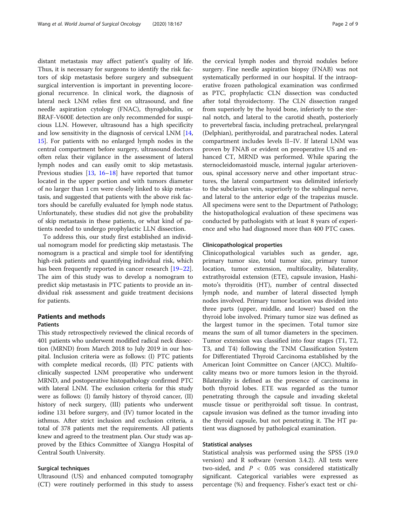distant metastasis may affect patient's quality of life. Thus, it is necessary for surgeons to identify the risk factors of skip metastasis before surgery and subsequent surgical intervention is important in preventing locoregional recurrence. In clinical work, the diagnosis of lateral neck LNM relies first on ultrasound, and fine needle aspiration cytology (FNAC), thyroglobulin, or BRAF-V600E detection are only recommended for suspicious LLN. However, ultrasound has a high specificity and low sensitivity in the diagnosis of cervical LNM [[14](#page-8-0), [15\]](#page-8-0). For patients with no enlarged lymph nodes in the central compartment before surgery, ultrasound doctors often relax their vigilance in the assessment of lateral lymph nodes and can easily omit to skip metastasis. Previous studies [\[13,](#page-8-0) [16](#page-8-0)–[18](#page-8-0)] have reported that tumor located in the upper portion and with tumors diameter of no larger than 1 cm were closely linked to skip metastasis, and suggested that patients with the above risk factors should be carefully evaluated for lymph node status. Unfortunately, these studies did not give the probability of skip metastasis in these patients, or what kind of patients needed to undergo prophylactic LLN dissection.

To address this, our study first established an individual nomogram model for predicting skip metastasis. The nomogram is a practical and simple tool for identifying high-risk patients and quantifying individual risk, which has been frequently reported in cancer research [[19](#page-8-0)–[22](#page-8-0)]. The aim of this study was to develop a nomogram to predict skip metastasis in PTC patients to provide an individual risk assessment and guide treatment decisions for patients.

# Patients and methods

### **Patients**

This study retrospectively reviewed the clinical records of 401 patients who underwent modified radical neck dissection (MRND) from March 2018 to July 2019 in our hospital. Inclusion criteria were as follows: (I) PTC patients with complete medical records, (II) PTC patients with clinically suspected LNM preoperative who underwent MRND, and postoperative histopathology confirmed PTC with lateral LNM. The exclusion criteria for this study were as follows: (I) family history of thyroid cancer, (II) history of neck surgery, (III) patients who underwent iodine 131 before surgery, and (IV) tumor located in the isthmus. After strict inclusion and exclusion criteria, a total of 378 patients met the requirements. All patients knew and agreed to the treatment plan. Our study was approved by the Ethics Committee of Xiangya Hospital of Central South University.

# Surgical techniques

Ultrasound (US) and enhanced computed tomography (CT) were routinely performed in this study to assess

the cervical lymph nodes and thyroid nodules before surgery. Fine needle aspiration biopsy (FNAB) was not systematically performed in our hospital. If the intraoperative frozen pathological examination was confirmed as PTC, prophylactic CLN dissection was conducted after total thyroidectomy. The CLN dissection ranged from superiorly by the hyoid bone, inferiorly to the sternal notch, and lateral to the carotid sheath, posteriorly to prevertebral fascia, including pretracheal, prelaryngeal (Delphian), perithyroidal, and paratracheal nodes. Lateral compartment includes levels II–IV. If lateral LNM was proven by FNAB or evident on preoperative US and enhanced CT, MRND was performed. While sparing the sternocleidomastoid muscle, internal jugular arteriovenous, spinal accessory nerve and other important structures, the lateral compartment was delimited inferiorly to the subclavian vein, superiorly to the sublingual nerve, and lateral to the anterior edge of the trapezius muscle. All specimens were sent to the Department of Pathology; the histopathological evaluation of these specimens was conducted by pathologists with at least 8 years of experience and who had diagnosed more than 400 PTC cases.

#### Clinicopathological properties

Clinicopathological variables such as gender, age, primary tumor size, total tumor size, primary tumor location, tumor extension, multifocality, bilaterality, extrathyroidal extension (ETE), capsule invasion, Hashimoto's thyroiditis (HT), number of central dissected lymph node, and number of lateral dissected lymph nodes involved. Primary tumor location was divided into three parts (upper, middle, and lower) based on the thyroid lobe involved. Primary tumor size was defined as the largest tumor in the specimen. Total tumor size means the sum of all tumor diameters in the specimen. Tumor extension was classified into four stages (T1, T2, T3, and T4) following the TNM Classification System for Differentiated Thyroid Carcinoma established by the American Joint Committee on Cancer (AJCC). Multifocality means two or more tumors lesion in the thyroid. Bilaterality is defined as the presence of carcinoma in both thyroid lobes. ETE was regarded as the tumor penetrating through the capsule and invading skeletal muscle tissue or perithyroidal soft tissue. In contrast, capsule invasion was defined as the tumor invading into the thyroid capsule, but not penetrating it. The HT patient was diagnosed by pathological examination.

# Statistical analyses

Statistical analysis was performed using the SPSS (19.0 version) and R software (version 3.4.2). All tests were two-sided, and  $P < 0.05$  was considered statistically significant. Categorical variables were expressed as percentage (%) and frequency. Fisher's exact test or chi-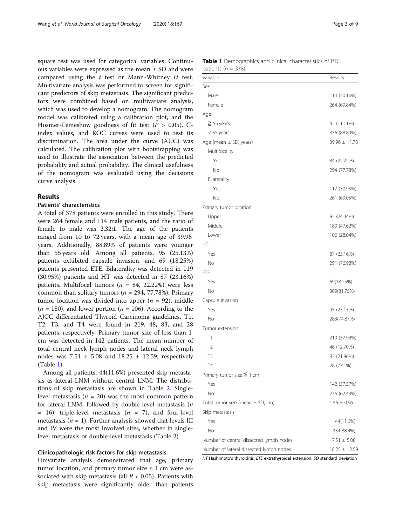square test was used for categorical variables. Continuous variables were expressed as the mean ± SD and were compared using the  $t$  test or Mann-Whitney  $U$  test. Multivariate analysis was performed to screen for significant predictors of skip metastasis. The significant predictors were combined based on multivariate analysis, which was used to develop a nomogram. The nomogram model was calibrated using a calibration plot, and the Hosmer-Lemeshow goodness of fit test ( $P > 0.05$ ), Cindex values, and ROC curves were used to test its discrimination. The area under the curve (AUC) was calculated. The calibration plot with bootstrapping was used to illustrate the association between the predicted probability and actual probability. The clinical usefulness of the nomogram was evaluated using the decisions curve analysis.

### Results

#### Patients' characteristics

A total of 378 patients were enrolled in this study. There were 264 female and 114 male patients, and the ratio of female to male was 2.32:1. The age of the patients ranged from 10 to 72 years, with a mean age of 39.96 years. Additionally, 88.89% of patients were younger than 55 years old. Among all patients, 95 (25.13%) patients exhibited capsule invasion, and 69 (18.25%) patients presented ETE. Bilaterality was detected in 119 (30.95%) patients and HT was detected in 87 (23.16%) patients. Multifocal tumors ( $n = 84$ , 22.22%) were less common than solitary tumors ( $n = 294, 77.78\%$ ). Primary tumor location was divided into upper  $(n = 92)$ , middle  $(n = 180)$ , and lower portion  $(n = 106)$ . According to the AJCC differentiated Thyroid Carcinoma guidelines, T1, T2, T3, and T4 were found in 219, 48, 83, and 28 patients, respectively. Primary tumor size of less than 1 cm was detected in 142 patients. The mean number of total central neck lymph nodes and lateral neck lymph nodes was  $7.51 \pm 5.08$  and  $18.25 \pm 12.59$ , respectively (Table 1).

Among all patients, 44(11.6%) presented skip metastasis as lateral LNM without central LNM. The distributions of skip metastasis are shown in Table [2](#page-3-0). Singlelevel metastasis ( $n = 20$ ) was the most common pattern for lateral LNM, followed by double-level metastasis (n  $= 16$ ), triple-level metastasis ( $n = 7$ ), and four-level metastasis ( $n = 1$ ). Further analysis showed that levels III and IV were the most involved sites, whether in singlelevel metastasis or double-level metastasis (Table [2\)](#page-3-0).

# Clinicopathologic risk factors for skip metastasis

Univariate analysis demonstrated that age, primary tumor location, and primary tumor size  $\leq 1$  cm were associated with skip metastasis (all  $P < 0.05$ ). Patients with skip metastasis were significantly older than patients

| <b>Table 1</b> Demographics and clinical characteristics of PTC |  |  |  |
|-----------------------------------------------------------------|--|--|--|
| patients ( $n = 378$ )                                          |  |  |  |

| Variable                                | Results           |
|-----------------------------------------|-------------------|
| Sex                                     |                   |
| Male                                    | 114 (30.16%)      |
| Female                                  | 264 (69.84%)      |
| Age                                     |                   |
| $\geq$ 55 years                         | 42 (11.11%)       |
| $<$ 55 years                            | 336 (88.89%)      |
| Age (mean $\pm$ SD, years)              | $39.96 \pm 11.73$ |
| Multifocality                           |                   |
| Yes                                     | 84 (22.22%)       |
| No                                      | 294 (77.78%)      |
| Bilaterality                            |                   |
| Yes                                     | 117 (30.95%)      |
| No                                      | 261 (69.05%)      |
| Primary tumor location                  |                   |
| Upper                                   | 92 (24.34%)       |
| Middle                                  | 180 (47.62%)      |
| Lower                                   | 106 (28.04%)      |
| НT                                      |                   |
| Yes                                     | 87 (23.16%)       |
| No                                      | 291 (76.98%)      |
| ETE                                     |                   |
| Yes                                     | 69(18.25%)        |
| No                                      | 309(81.75%)       |
| Capsule invasion                        |                   |
| Yes                                     | 95 (25.13%)       |
| No                                      | 283(74.87%)       |
| Tumor extension                         |                   |
| Τ1                                      | 219 (57.94%)      |
| T <sub>2</sub>                          | 48 (12.70%)       |
| T3                                      | 83 (21.96%)       |
| <b>T4</b>                               | 28 (7.41%)        |
| Primary tumor size $\leq 1$ cm          |                   |
| Yes                                     | 142 (37.57%)      |
| No                                      | 236 (62.43%)      |
| Total tumor size (mean $\pm$ SD, cm)    | $1.56 \pm 0.96$   |
| Skip metastasis                         |                   |
| Yes                                     | 44(11.6%)         |
| No                                      | 334(88.4%)        |
| Number of central dissected lymph nodes | $7.51 \pm 5.08$   |
| Number of lateral dissected lymph nodes | $18.25 \pm 12.59$ |

HT Hashimoto's thyroiditis, ETE extrathyroidal extension, SD standard deviation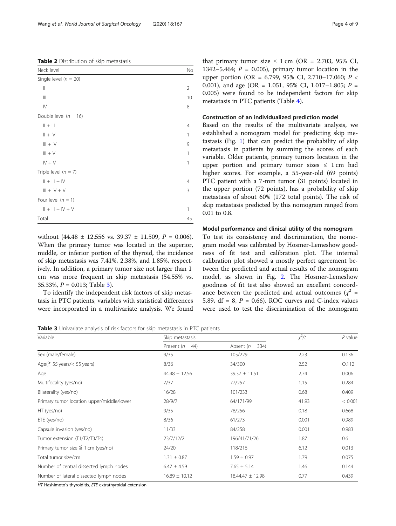without (44.48  $\pm$  12.556 vs. 39.37  $\pm$  11.509,  $P = 0.006$ ). When the primary tumor was located in the superior, middle, or inferior portion of the thyroid, the incidence of skip metastasis was 7.41%, 2.38%, and 1.85%, respectively. In addition, a primary tumor size not larger than 1 cm was more frequent in skip metastasis (54.55% vs. 35.33%,  $P = 0.013$ ; Table 3).

To identify the independent risk factors of skip metastasis in PTC patients, variables with statistical differences were incorporated in a multivariate analysis. We found

0.01 to 0.8.

# Model performance and clinical utility of the nomogram

To test its consistency and discrimination, the nomogram model was calibrated by Hosmer-Lemeshow goodness of fit test and calibration plot. The internal calibration plot showed a mostly perfect agreement between the predicted and actual results of the nomogram model, as shown in Fig. [2](#page-5-0). The Hosmer-Lemeshow goodness of fit test also showed an excellent concordance between the predicted and actual outcomes ( $\chi^2$  = 5.89, df = 8,  $P = 0.66$ ). ROC curves and C-index values were used to test the discrimination of the nomogram

Table 3 Univariate analysis of risk factors for skip metastasis in PTC patients

| Variable                                  | Skip metastasis      | $x^2/t$              | $P$ value |         |
|-------------------------------------------|----------------------|----------------------|-----------|---------|
|                                           | Present ( $n = 44$ ) | Absent ( $n = 334$ ) |           |         |
| Sex (male/female)                         | 9/35                 | 105/229              | 2.23      | 0.136   |
| Age( $\geq$ 55 years/< 55 years)          | 8/36                 | 34/300               | 2.52      | O.112   |
| Age                                       | $44.48 \pm 12.56$    | $39.37 \pm 11.51$    | 2.74      | 0.006   |
| Multifocality (yes/no)                    | 7/37                 | 77/257               | 1.15      | 0.284   |
| Bilaterality (yes/no)                     | 16/28                | 101/233              | 0.68      | 0.409   |
| Primary tumor location upper/middle/lower | 28/9/7               | 64/171/99            | 41.93     | < 0.001 |
| HT (yes/no)                               | 9/35                 | 78/256               | 0.18      | 0.668   |
| ETE (yes/no)                              | 8/36                 | 61/273               | 0.001     | 0.989   |
| Capsule invasion (yes/no)                 | 11/33                | 84/258               | 0.001     | 0.983   |
| Tumor extension (T1/T2/T3/T4)             | 23/7/12/2            | 196/41/71/26         | 1.87      | 0.6     |
| Primary tumor size $\leq$ 1 cm (yes/no)   | 24/20                | 118/216              | 6.12      | 0.013   |
| Total tumor size/cm                       | $1.31 \pm 0.87$      | $1.59 \pm 0.97$      | 1.79      | 0.075   |
| Number of central dissected lymph nodes   | $6.47 \pm 4.59$      | $7.65 \pm 5.14$      | 1.46      | 0.144   |
| Number of lateral dissected lymph nodes   | $16.89 \pm 10.12$    | 18.44.47 ± 12.98     | 0.77      | 0.439   |

HT Hashimoto's thyroiditis, ETE extrathyroidal extension

<span id="page-3-0"></span>

| Neck level                           | No             |
|--------------------------------------|----------------|
| Single level ( $n = 20$ )            |                |
| $\mid \mid$                          | $\overline{2}$ |
| $\left\vert \right\vert \right\vert$ | 10             |
| $\mathsf{IV}$                        | 8              |
| Double level ( $n = 16$ )            |                |
| $   +    $                           | 4              |
| $   +   $                            | 1              |
| $III + IV$                           | 9              |
| $III + V$                            | 1              |
| $IV + V$                             | 1              |
| Triple level $(n = 7)$               |                |
| $   +     +   V$                     | 4              |
| $III + IV + V$                       | 3              |
| Four level $(n = 1)$                 |                |
| $   +     +   V + V$                 | 1              |
| Total                                | 45             |

that primary tumor size  $\leq 1$  cm (OR = 2.703, 95% CI, 1342–5.464;  $P = 0.005$ ), primary tumor location in the upper portion (OR = 6.799, 95% CI, 2.710–17.060;  $P \leq$ 0.001), and age (OR = 1.051, 95% CI, 1.017-1.805;  $P =$ 0.005) were found to be independent factors for skip metastasis in PTC patients (Table [4\)](#page-4-0).

### Construction of an individualized prediction model

Based on the results of the multivariate analysis, we established a nomogram model for predicting skip metastasis (Fig. [1](#page-4-0)) that can predict the probability of skip metastasis in patients by summing the scores of each variable. Older patients, primary tumors location in the upper portion and primary tumor sizes  $\leq 1$  cm had higher scores. For example, a 55-year-old (69 points) PTC patient with a 7-mm tumor (31 points) located in the upper portion (72 points), has a probability of skip metastasis of about 60% (172 total points). The risk of skip metastasis predicted by this nomogram ranged from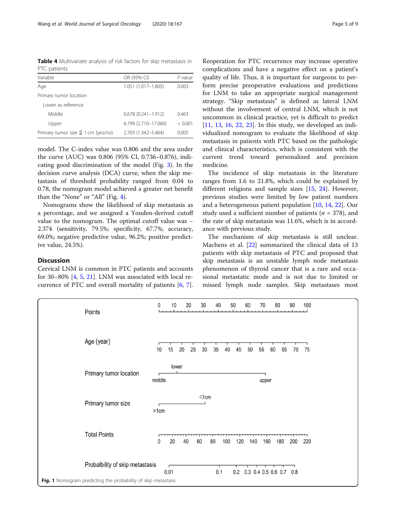<span id="page-4-0"></span>Table 4 Multivariate analysis of risk factors for skip metastasis in PTC patients

| Variable                                | OR (95% CI)            | P value |
|-----------------------------------------|------------------------|---------|
| Age                                     | 1.051 (1.017-1.805)    | 0.003   |
| Primary tumor location                  |                        |         |
| Lower as reference                      |                        |         |
| Middle                                  | $0.678(0.241 - 1.912)$ | 0.463   |
| Upper                                   | 6.799 (2.710-17.060)   | < 0.001 |
| Primary tumor size $\leq$ 1 cm (yes/no) | 2.703 (1.342-5.464)    | 0.005   |

model. The C-index value was 0.806 and the area under the curve (AUC) was 0.806 (95% CI, 0.736–0.876), indicating good discrimination of the model (Fig. [3](#page-6-0)). In the decision curve analysis (DCA) curve, when the skip metastasis of threshold probability ranged from 0.04 to 0.78, the nomogram model achieved a greater net benefit than the "None" or "All" (Fig. [4\)](#page-7-0).

Nomograms show the likelihood of skip metastasis as a percentage, and we assigned a Youden-derived cutoff value to the nomogram. The optimal cutoff value was − 2.374 (sensitivity, 79.5%; specificity, 67.7%; accuracy, 69.0%; negative predictive value, 96.2%; positive predictive value, 24.5%).

# Discussion

Cervical LNM is common in PTC patients and accounts for 30–80% [\[4,](#page-8-0) [5](#page-8-0), [21](#page-8-0)]. LNM was associated with local recurrence of PTC and overall mortality of patients [[6,](#page-8-0) [7](#page-8-0)].

Reoperation for PTC recurrence may increase operative complications and have a negative effect on a patient's quality of life. Thus, it is important for surgeons to perform precise preoperative evaluations and predictions for LNM to take an appropriate surgical management strategy. "Skip metastasis" is defined as lateral LNM without the involvement of central LNM, which is not uncommon in clinical practice, yet is difficult to predict [[11,](#page-8-0) [13](#page-8-0), [16,](#page-8-0) [22](#page-8-0), [23\]](#page-8-0). In this study, we developed an individualized nomogram to evaluate the likelihood of skip metastasis in patients with PTC based on the pathologic and clinical characteristics, which is consistent with the current trend toward personalized and precision medicine.

The incidence of skip metastasis in the literature ranges from 1.6 to 21.8%, which could be explained by different religions and sample sizes [\[15](#page-8-0), [24\]](#page-8-0). However, previous studies were limited by low patient numbers and a heterogeneous patient population [[10,](#page-8-0) [14,](#page-8-0) [22\]](#page-8-0). Our study used a sufficient number of patients ( $n = 378$ ), and the rate of skip metastasis was 11.6%, which is in accordance with previous study.

The mechanism of skip metastasis is still unclear. Machens et al. [[22\]](#page-8-0) summarized the clinical data of 13 patients with skip metastasis of PTC and proposed that skip metastasis is an unstable lymph node metastasis phenomenon of thyroid cancer that is a rare and occasional metastatic mode and is not due to limited or missed lymph node samples. Skip metastases most

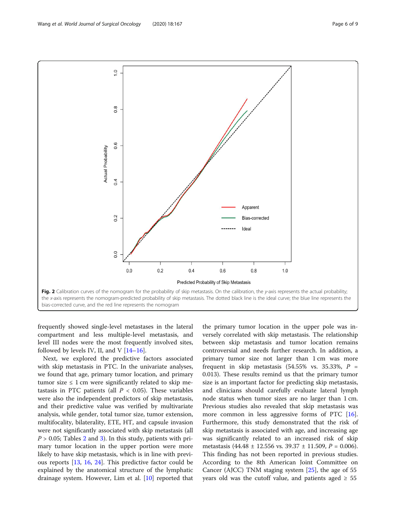<span id="page-5-0"></span>

frequently showed single-level metastases in the lateral compartment and less multiple-level metastasis, and level III nodes were the most frequently involved sites, followed by levels IV, II, and V  $[14–16]$  $[14–16]$  $[14–16]$  $[14–16]$ .

Next, we explored the predictive factors associated with skip metastasis in PTC. In the univariate analyses, we found that age, primary tumor location, and primary tumor size  $\leq 1$  cm were significantly related to skip metastasis in PTC patients (all  $P < 0.05$ ). These variables were also the independent predictors of skip metastasis, and their predictive value was verified by multivariate analysis, while gender, total tumor size, tumor extension, multifocality, bilaterality, ETE, HT, and capsule invasion were not significantly associated with skip metastasis (all  $P > 0.05$ ; Tables [2](#page-3-0) and [3](#page-3-0)). In this study, patients with primary tumor location in the upper portion were more likely to have skip metastasis, which is in line with previous reports [[13,](#page-8-0) [16](#page-8-0), [24](#page-8-0)]. This predictive factor could be explained by the anatomical structure of the lymphatic drainage system. However, Lim et al. [[10\]](#page-8-0) reported that

the primary tumor location in the upper pole was inversely correlated with skip metastasis. The relationship between skip metastasis and tumor location remains controversial and needs further research. In addition, a primary tumor size not larger than 1 cm was more frequent in skip metastasis  $(54.55\% \text{ vs. } 35.33\%, P =$ 0.013). These results remind us that the primary tumor size is an important factor for predicting skip metastasis, and clinicians should carefully evaluate lateral lymph node status when tumor sizes are no larger than 1 cm. Previous studies also revealed that skip metastasis was more common in less aggressive forms of PTC [\[16](#page-8-0)]. Furthermore, this study demonstrated that the risk of skip metastasis is associated with age, and increasing age was significantly related to an increased risk of skip metastasis (44.48 ± 12.556 vs. 39.37 ± 11.509,  $P = 0.006$ ). This finding has not been reported in previous studies. According to the 8th American Joint Committee on Cancer (AJCC) TNM staging system [\[25](#page-8-0)], the age of 55 years old was the cutoff value, and patients aged  $\geq 55$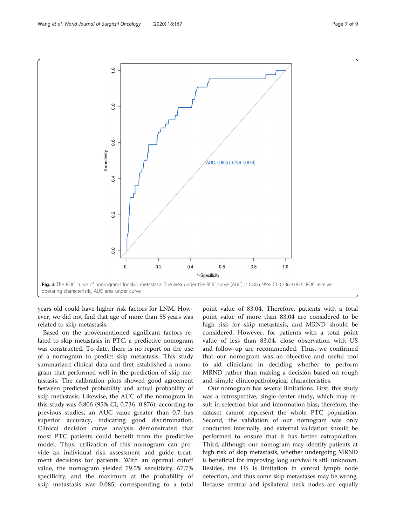<span id="page-6-0"></span>

years old could have higher risk factors for LNM. However, we did not find that age of more than 55 years was related to skip metastasis.

Based on the abovementioned significant factors related to skip metastasis in PTC, a predictive nomogram was constructed. To date, there is no report on the use of a nomogram to predict skip metastasis. This study summarized clinical data and first established a nomogram that performed well in the prediction of skip metastasis. The calibration plots showed good agreement between predicted probability and actual probability of skip metastasis. Likewise, the AUC of the nomogram in this study was 0.806 (95% CI, 0.736–0.876); according to previous studies, an AUC value greater than 0.7 has superior accuracy, indicating good discrimination. Clinical decision curve analysis demonstrated that most PTC patients could benefit from the predictive model. Thus, utilization of this nomogram can provide an individual risk assessment and guide treatment decisions for patients. With an optimal cutoff value, the nomogram yielded 79.5% sensitivity, 67.7% specificity, and the maximum at the probability of skip metastasis was 0.085, corresponding to a total

point value of 83.04. Therefore, patients with a total point value of more than 83.04 are considered to be high risk for skip metastasis, and MRND should be considered. However, for patients with a total point value of less than 83.04, close observation with US and follow-up are recommended. Thus, we confirmed that our nomogram was an objective and useful tool to aid clinicians in deciding whether to perform MRND rather than making a decision based on rough and simple clinicopathological characteristics.

Our nomogram has several limitations. First, this study was a retrospective, single-center study, which may result in selection bias and information bias; therefore, the dataset cannot represent the whole PTC population. Second, the validation of our nomogram was only conducted internally, and external validation should be performed to ensure that it has better extrapolation. Third, although our nomogram may identify patients at high risk of skip metastasis, whether undergoing MRND is beneficial for improving long survival is still unknown. Besides, the US is limitation in central lymph node detection, and thus some skip metastases may be wrong. Because central and ipsilateral neck nodes are equally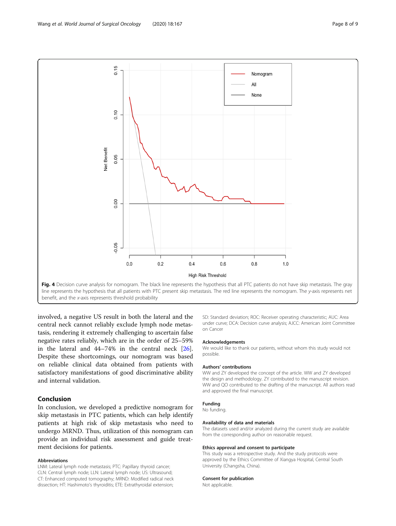<span id="page-7-0"></span>

line represents the hypothesis that all patients with PTC present skip metastasis. The red line represents the nomogram. The y-axis represents net benefit, and the x-axis represents threshold probability

involved, a negative US result in both the lateral and the central neck cannot reliably exclude lymph node metastasis, rendering it extremely challenging to ascertain false negative rates reliably, which are in the order of 25–59% in the lateral and 44–74% in the central neck [\[26](#page-8-0)]. Despite these shortcomings, our nomogram was based on reliable clinical data obtained from patients with satisfactory manifestations of good discriminative ability and internal validation.

# Conclusion

In conclusion, we developed a predictive nomogram for skip metastasis in PTC patients, which can help identify patients at high risk of skip metastasis who need to undergo MRND. Thus, utilization of this nomogram can provide an individual risk assessment and guide treatment decisions for patients.

#### Abbreviations

LNM: Lateral lymph node metastasis; PTC: Papillary thyroid cancer; CLN: Central lymph node; LLN: Lateral lymph node; US: Ultrasound; CT: Enhanced computed tomography; MRND: Modified radical neck dissection; HT: Hashimoto's thyroiditis; ETE: Extrathyroidal extension; SD: Standard deviation; ROC: Receiver operating characteristic; AUC: Area under curve; DCA: Decision curve analysis; AJCC: American Joint Committee on Cancer

#### Acknowledgements

We would like to thank our patients, without whom this study would not possible.

#### Authors' contributions

WW and ZY developed the concept of the article. WW and ZY developed the design and methodology. ZY contributed to the manuscript revision. WW and QO contributed to the drafting of the manuscript. All authors read and approved the final manuscript.

#### Funding

No funding.

#### Availability of data and materials

The datasets used and/or analyzed during the current study are available from the corresponding author on reasonable request.

#### Ethics approval and consent to participate

This study was a retrospective study. And the study protocols were approved by the Ethics Committee of Xiangya Hospital, Central South University (Changsha, China).

#### Consent for publication

Not applicable.